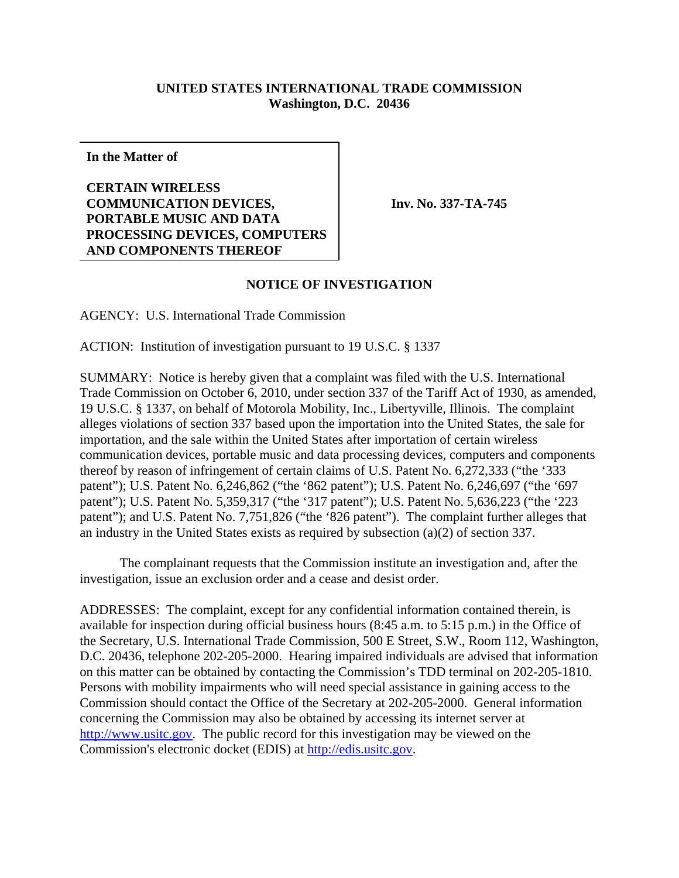## **UNITED STATES INTERNATIONAL TRADE COMMISSION Washington, D.C. 20436**

**In the Matter of**

**CERTAIN WIRELESS COMMUNICATION DEVICES, PORTABLE MUSIC AND DATA PROCESSING DEVICES, COMPUTERS AND COMPONENTS THEREOF**

**Inv. No. 337-TA-745**

## **NOTICE OF INVESTIGATION**

AGENCY: U.S. International Trade Commission

ACTION: Institution of investigation pursuant to 19 U.S.C. § 1337

SUMMARY: Notice is hereby given that a complaint was filed with the U.S. International Trade Commission on October 6, 2010, under section 337 of the Tariff Act of 1930, as amended, 19 U.S.C. § 1337, on behalf of Motorola Mobility, Inc., Libertyville, Illinois. The complaint alleges violations of section 337 based upon the importation into the United States, the sale for importation, and the sale within the United States after importation of certain wireless communication devices, portable music and data processing devices, computers and components thereof by reason of infringement of certain claims of U.S. Patent No. 6,272,333 ("the '333 patent"); U.S. Patent No. 6,246,862 ("the '862 patent"); U.S. Patent No. 6,246,697 ("the '697 patent"); U.S. Patent No. 5,359,317 ("the '317 patent"); U.S. Patent No. 5,636,223 ("the '223 patent"); and U.S. Patent No. 7,751,826 ("the '826 patent"). The complaint further alleges that an industry in the United States exists as required by subsection (a)(2) of section 337.

The complainant requests that the Commission institute an investigation and, after the investigation, issue an exclusion order and a cease and desist order.

ADDRESSES: The complaint, except for any confidential information contained therein, is available for inspection during official business hours (8:45 a.m. to 5:15 p.m.) in the Office of the Secretary, U.S. International Trade Commission, 500 E Street, S.W., Room 112, Washington, D.C. 20436, telephone 202-205-2000. Hearing impaired individuals are advised that information on this matter can be obtained by contacting the Commission's TDD terminal on 202-205-1810. Persons with mobility impairments who will need special assistance in gaining access to the Commission should contact the Office of the Secretary at 202-205-2000. General information concerning the Commission may also be obtained by accessing its internet server at http://www.usitc.gov. The public record for this investigation may be viewed on the Commission's electronic docket (EDIS) at http://edis.usitc.gov.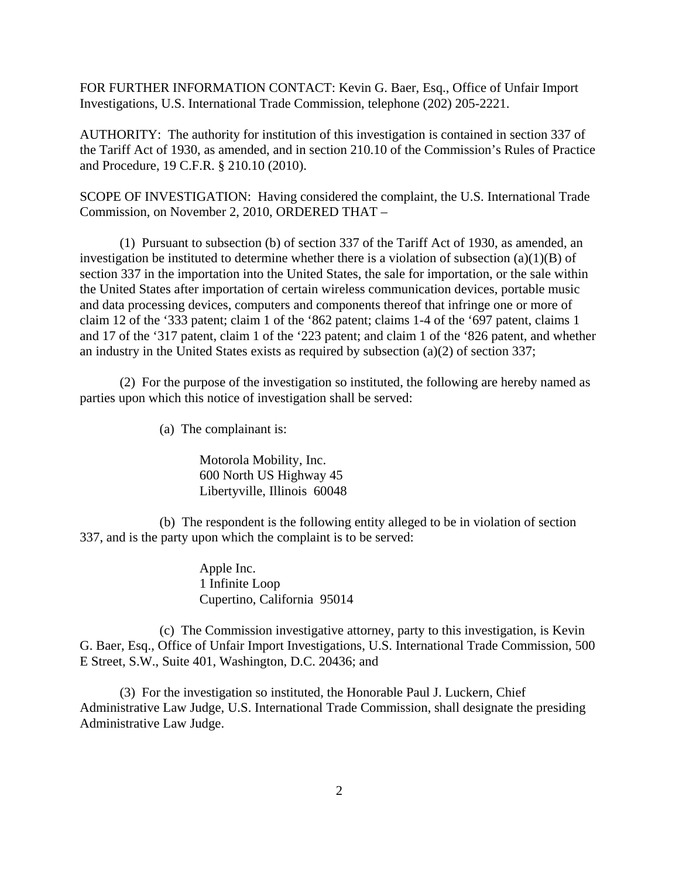FOR FURTHER INFORMATION CONTACT: Kevin G. Baer, Esq., Office of Unfair Import Investigations, U.S. International Trade Commission, telephone (202) 205-2221.

AUTHORITY: The authority for institution of this investigation is contained in section 337 of the Tariff Act of 1930, as amended, and in section 210.10 of the Commission's Rules of Practice and Procedure, 19 C.F.R. § 210.10 (2010).

SCOPE OF INVESTIGATION: Having considered the complaint, the U.S. International Trade Commission, on November 2, 2010, ORDERED THAT –

(1) Pursuant to subsection (b) of section 337 of the Tariff Act of 1930, as amended, an investigation be instituted to determine whether there is a violation of subsection  $(a)(1)(B)$  of section 337 in the importation into the United States, the sale for importation, or the sale within the United States after importation of certain wireless communication devices, portable music and data processing devices, computers and components thereof that infringe one or more of claim 12 of the '333 patent; claim 1 of the '862 patent; claims 1-4 of the '697 patent, claims 1 and 17 of the '317 patent, claim 1 of the '223 patent; and claim 1 of the '826 patent, and whether an industry in the United States exists as required by subsection (a)(2) of section 337;

(2) For the purpose of the investigation so instituted, the following are hereby named as parties upon which this notice of investigation shall be served:

(a) The complainant is:

Motorola Mobility, Inc. 600 North US Highway 45 Libertyville, Illinois 60048

(b) The respondent is the following entity alleged to be in violation of section 337, and is the party upon which the complaint is to be served:

> Apple Inc. 1 Infinite Loop Cupertino, California 95014

(c) The Commission investigative attorney, party to this investigation, is Kevin G. Baer, Esq., Office of Unfair Import Investigations, U.S. International Trade Commission, 500 E Street, S.W., Suite 401, Washington, D.C. 20436; and

(3) For the investigation so instituted, the Honorable Paul J. Luckern, Chief Administrative Law Judge, U.S. International Trade Commission, shall designate the presiding Administrative Law Judge.